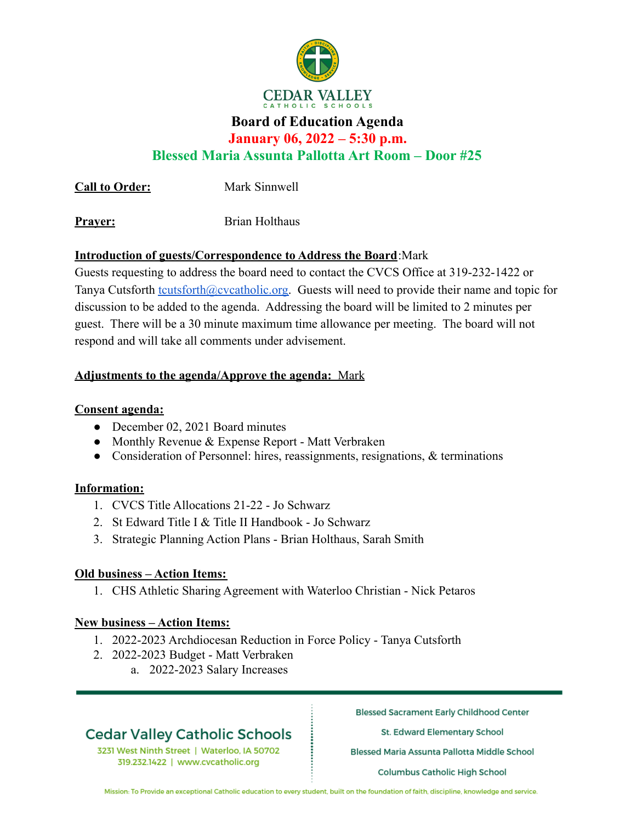

### **Board of Education Agenda**

**January 06, 2022 – 5:30 p.m.**

**Blessed Maria Assunta Pallotta Art Room – Door #25**

**Call to Order:** Mark Sinnwell

**Prayer:** Brian Holthaus

### **Introduction of guests/Correspondence to Address the Board**:Mark

Guests requesting to address the board need to contact the CVCS Office at 319-232-1422 or Tanya Cutsforth [tcutsforth@cvcatholic.org.](mailto:tcutsforth@cvcatholic.org) Guests will need to provide their name and topic for discussion to be added to the agenda. Addressing the board will be limited to 2 minutes per guest. There will be a 30 minute maximum time allowance per meeting. The board will not respond and will take all comments under advisement.

### **Adjustments to the agenda/Approve the agenda:** Mark

### **Consent agenda:**

- December 02, 2021 Board minutes
- Monthly Revenue & Expense Report Matt Verbraken
- Consideration of Personnel: hires, reassignments, resignations, & terminations

### **Information:**

- 1. CVCS Title Allocations 21-22 Jo Schwarz
- 2. St Edward Title I & Title II Handbook Jo Schwarz
- 3. Strategic Planning Action Plans Brian Holthaus, Sarah Smith

### **Old business – Action Items:**

1. CHS Athletic Sharing Agreement with Waterloo Christian - Nick Petaros

### **New business – Action Items:**

- 1. 2022-2023 Archdiocesan Reduction in Force Policy Tanya Cutsforth
- 2. 2022-2023 Budget Matt Verbraken
	- a. 2022-2023 Salary Increases

## **Cedar Valley Catholic Schools**

3231 West Ninth Street | Waterloo, IA 50702 319.232.1422 | www.cvcatholic.org

**Blessed Sacrament Early Childhood Center** 

St. Edward Elementary School

Blessed Maria Assunta Pallotta Middle School

**Columbus Catholic High School** 

Mission: To Provide an exceptional Catholic education to every student, built on the foundation of faith, discipline, knowledge and service.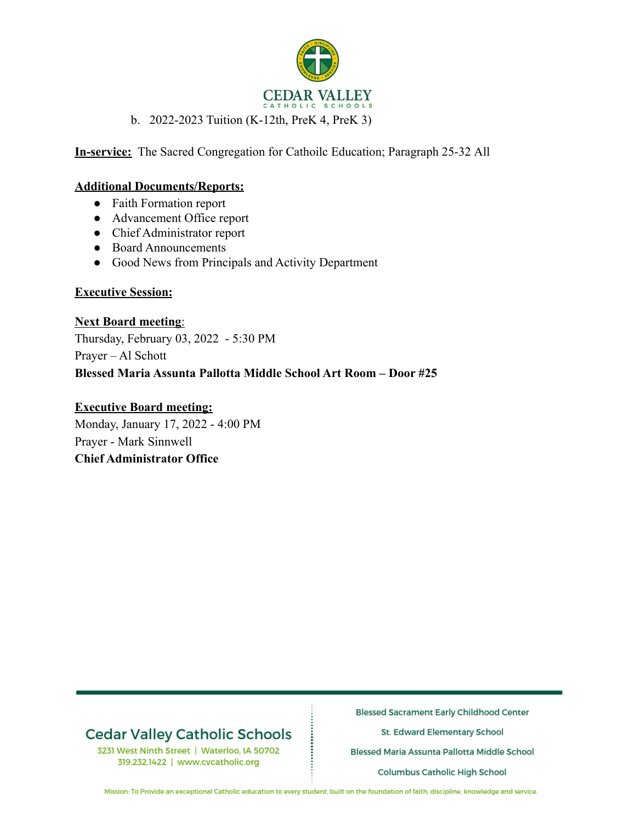

### b. 2022-2023 Tuition (K-12th, PreK 4, PreK 3)

**In-service:** The Sacred Congregation for Cathoilc Education; Paragraph 25-32 All

#### **Additional Documents/Reports:**

- Faith Formation report
- Advancement Office report
- Chief Administrator report
- Board Announcements
- Good News from Principals and Activity Department

#### **Executive Session:**

**Next Board meeting**: Thursday, February 03, 2022 - 5:30 PM Prayer – Al Schott **Blessed Maria Assunta Pallotta Middle School Art Room – Door #25**

### **Executive Board meeting:**

Monday, January 17, 2022 - 4:00 PM Prayer - Mark Sinnwell **Chief Administrator Office**

## **Cedar Valley Catholic Schools**

3231 West Ninth Street | Waterloo, IA 50702 319.232.1422 | www.cvcatholic.org

**Blessed Sacrament Early Childhood Center** 

St. Edward Elementary School

Blessed Maria Assunta Pallotta Middle School

**Columbus Catholic High School** 

Mission: To Provide an exceptional Catholic education to every student, built on the foundation of faith, discipline, knowledge and service.